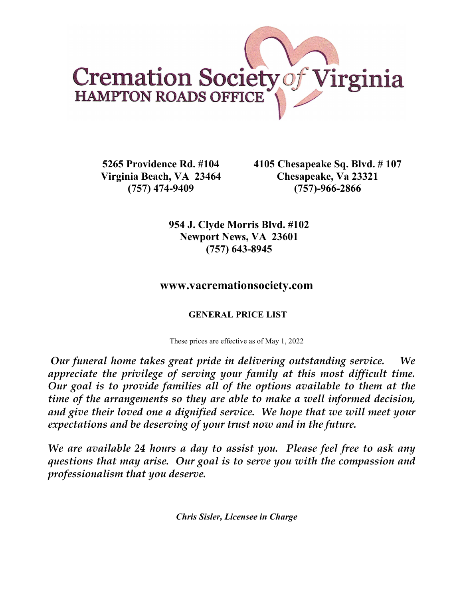

**5265 Providence Rd. #104 Virginia Beach, VA 23464 (757) 474-9409**

**4105 Chesapeake Sq. Blvd. # 107 Chesapeake, Va 23321 (757)-966-2866**

**954 J. Clyde Morris Blvd. #102 Newport News, VA 23601 (757) 643-8945**

# **www.vacremationsociety.com**

# **GENERAL PRICE LIST**

These prices are effective as of May 1, 2022

*Our funeral home takes great pride in delivering outstanding service. We appreciate the privilege of serving your family at this most difficult time. Our goal is to provide families all of the options available to them at the time of the arrangements so they are able to make a well informed decision, and give their loved one a dignified service. We hope that we will meet your expectations and be deserving of your trust now and in the future.*

*We are available 24 hours a day to assist you. Please feel free to ask any questions that may arise. Our goal is to serve you with the compassion and professionalism that you deserve.*

*Chris Sisler, Licensee in Charge*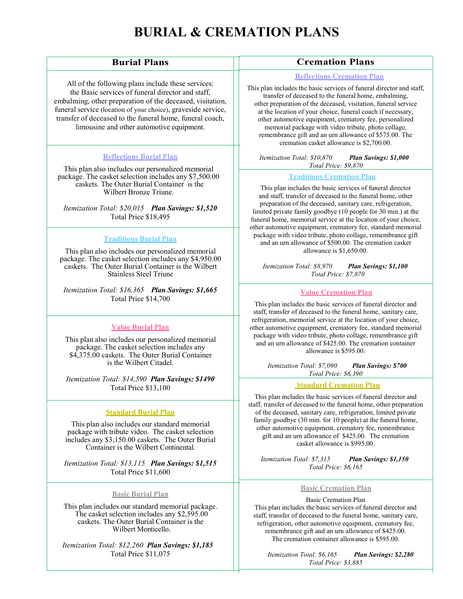# **BURIAL & CREMATION PLANS**

# **Burial Plans**

All of the following plans include these services: the Basic services of funeral director and staff, embalming, other preparation of the deceased, visitation, funeral service (location of your choice), graveside service, transfer of deceased to the funeral home, funeral coach, limousine and other automotive equipment.

### **Reflections Burial Plan**

This plan also includes our personalized memorial package. The casket selection includes any \$7,500.00 caskets. The Outer Burial Container is the Wilbert Bronze Triune.

*Itemization Total: \$20,015 Plan Savings: \$1,520*  Total Price \$18,495

### **Traditions Burial Plan**

This plan also includes our personalized memorial package. The casket selection includes any \$4,950.00 caskets. The Outer Burial Container is the Wilbert Stainless Steel Triune

*Itemization Total: \$16,365 Plan Savings: \$1,665*  Total Price \$14,700

### **Value Burial Plan**

This plan also includes our personalized memorial package. The casket selection includes any \$4,375.00 caskets. The Outer Burial Container is the Wilbert Citadel.

*Itemization Total: \$14,590 Plan Savings: \$1490*  Total Price \$13,100

### **Standard Burial Plan**

This plan also includes our standard memorial package with tribute video. The casket selection includes any \$3,150.00 caskets. The Outer Burial Container is the Wilbert Continental.

*Itemization Total: \$13,115 Plan Savings: \$1,515*  Total Price \$11,600

### **Basic Burial Plan**

This plan includes our standard memorial package. The casket selection includes any \$2,595.00 caskets. The Outer Burial Container is the Wilbert Monticello.

 *Itemization Total: \$12,260 Plan Savings: \$1,185*  Total Price \$11,075

# **Cremation Plans**

### **Reflections Cremation Plan**

 transfer of deceased to the funeral home, embalming, e other preparation of the deceased, visitation, funeral service at the location of your choice, funeral coach if necessary, other automotive equipment, crematory fee, personalized memorial package with video tribute, photo collage, This plan includes the basic services of funeral director and staff, remembrance gift and an urn allowance of \$575.00. The cremation casket allowance is \$2,700.00.

 *Itemization Total: \$10,870 Plan Savings: \$1,000 Total Price: \$9,870*

### **Traditions Cremation Plan**

preparation of the deceased, saintary earc, reingeration,<br>
limited private family goodbye (10 people for 30 min.) at the This plan includes the basic services of funeral director and staff, transfer of deceased to the funeral home, other preparation of the deceased, sanitary care, refrigeration, funeral home, memorial service at the location of your choice, other automotive equipment, crematory fee, standard memorial package with video tribute, photo collage, remembrance gift and an urn allowance of \$500.00. The cremation casket allowance is \$1,650.00.

 *Itemization Total: \$8,970 Plan Savings: \$1,100 Total Price: \$7,870*

# **Value Cremation Plan**

and an urn allowance of  $$425.00$ . The cremation container<br>ollowance is  $$595,00$ This plan includes the basic services of funeral director and staff, transfer of deceased to the funeral home, sanitary care, refrigeration, memorial service at the location of your choice, other automotive equipment, crematory fee, standard memorial package with video tribute, photo collage, remembrance gift allowance is \$595.00.

> *Itemization Total: \$7,090 Plan Savings: \$700 Total Price: \$6,390*

# **Standard Cremation Plan**

other automotive equipment, crematory fee, remembrance gift and an urn allowance of \$425.00. The cremation This plan includes the basic services of funeral director and staff, transfer of deceased to the funeral home, other preparation of the deceased, sanitary care, refrigeration, limited private family goodbye (30 min. for 10 people) at the funeral home, casket allowance is \$995.00.

 *Total Price: \$6,165 Itemization Total: \$7,315 Plan Savings: \$1,150* 

#### **Basic Cremation Plan**

 This plan includes the basic services of funeral director and Basic Cremation Plan staff, transfer of deceased to the funeral home, sanitary care, refrigeration, other automotive equipment, crematory fee, remembrance gift and an urn allowance of \$425.00. The cremation container allowance is \$595.00.

 *Itemization Total: \$6,165 Plan Savings: \$2,280 Total Price: \$3,885*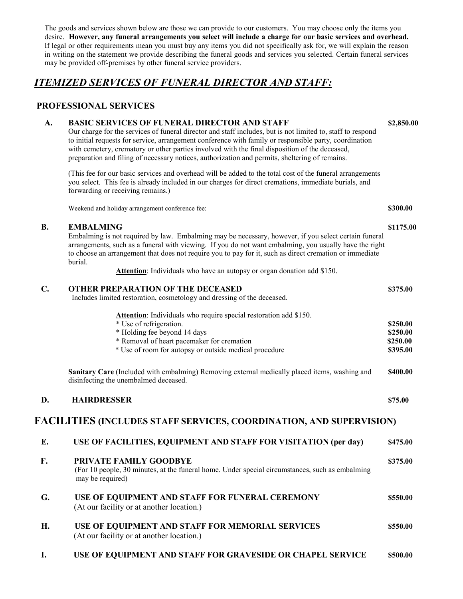The goods and services shown below are those we can provide to our customers. You may choose only the items you desire. **However, any funeral arrangements you select will include a charge for our basic services and overhead.**  If legal or other requirements mean you must buy any items you did not specifically ask for, we will explain the reason in writing on the statement we provide describing the funeral goods and services you selected. Certain funeral services may be provided off-premises by other funeral service providers.

# *ITEMIZED SERVICES OF FUNERAL DIRECTOR AND STAFF:*

# **PROFESSIONAL SERVICES**

### **A. BASIC SERVICES OF FUNERAL DIRECTOR AND STAFF \$2,850.00**

Our charge for the services of funeral director and staff includes, but is not limited to, staff to respond to initial requests for service, arrangement conference with family or responsible party, coordination with cemetery, crematory or other parties involved with the final disposition of the deceased, preparation and filing of necessary notices, authorization and permits, sheltering of remains.

(This fee for our basic services and overhead will be added to the total cost of the funeral arrangements you select. This fee is already included in our charges for direct cremations, immediate burials, and forwarding or receiving remains.)

Weekend and holiday arrangement conference fee: **\$300.00**

### **B. EMBALMING** \$1175.00

Embalming is not required by law. Embalming may be necessary, however, if you select certain funeral arrangements, such as a funeral with viewing. If you do not want embalming, you usually have the right to choose an arrangement that does not require you to pay for it, such as direct cremation or immediate burial.

**Attention**: Individuals who have an autopsy or organ donation add \$150.

| $C_{\bullet}$ | <b>OTHER PREPARATION OF THE DECEASED</b><br>Includes limited restoration, cosmetology and dressing of the deceased.                                                                                                                  |                                              |
|---------------|--------------------------------------------------------------------------------------------------------------------------------------------------------------------------------------------------------------------------------------|----------------------------------------------|
|               | Attention: Individuals who require special restoration add \$150.<br>* Use of refrigeration.<br>* Holding fee beyond 14 days<br>* Removal of heart pacemaker for cremation<br>* Use of room for autopsy or outside medical procedure | \$250.00<br>\$250.00<br>\$250.00<br>\$395.00 |
|               | Sanitary Care (Included with embalming) Removing external medically placed items, washing and<br>disinfecting the unembalmed deceased.                                                                                               | \$400.00                                     |
| D.            | <b>HAIRDRESSER</b>                                                                                                                                                                                                                   | \$75.00                                      |
|               | FACILITIES (INCLUDES STAFF SERVICES, COORDINATION, AND SUPERVISION)                                                                                                                                                                  |                                              |
| E.            | USE OF FACILITIES, EQUIPMENT AND STAFF FOR VISITATION (per day)                                                                                                                                                                      | \$475.00                                     |
| F.            | PRIVATE FAMILY GOODBYE<br>(For 10 people, 30 minutes, at the funeral home. Under special circumstances, such as embalming<br>may be required)                                                                                        | \$375.00                                     |
| G.            | USE OF EQUIPMENT AND STAFF FOR FUNERAL CEREMONY<br>(At our facility or at another location.)                                                                                                                                         | \$550.00                                     |
| H.            | USE OF EQUIPMENT AND STAFF FOR MEMORIAL SERVICES<br>(At our facility or at another location.)                                                                                                                                        | \$550.00                                     |
| I.            | USE OF EQUIPMENT AND STAFF FOR GRAVESIDE OR CHAPEL SERVICE                                                                                                                                                                           | \$500.00                                     |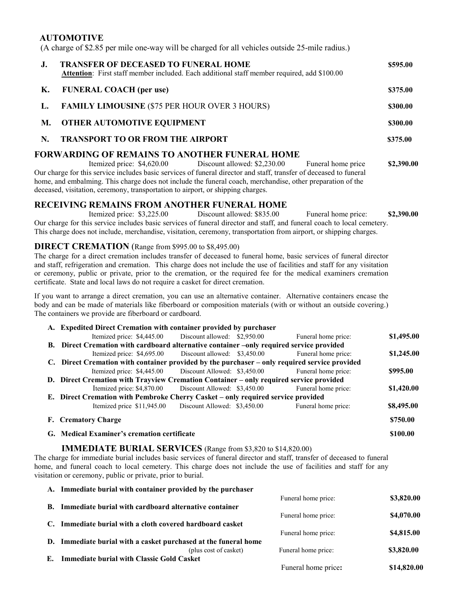## **AUTOMOTIVE**

(A charge of \$2.85 per mile one-way will be charged for all vehicles outside 25-mile radius.)

| $J_{\star}$ | <b>TRANSFER OF DECEASED TO FUNERAL HOME</b><br><b>Attention:</b> First staff member included. Each additional staff member required, add \$100.00 | \$595.00   |
|-------------|---------------------------------------------------------------------------------------------------------------------------------------------------|------------|
| К.          | <b>FUNERAL COACH</b> (per use)                                                                                                                    | \$375.00   |
| L.          | <b>FAMILY LIMOUSINE (\$75 PER HOUR OVER 3 HOURS)</b>                                                                                              | \$300.00   |
| М.          | <b>OTHER AUTOMOTIVE EQUIPMENT</b>                                                                                                                 | \$300.00   |
| N.          | <b>TRANSPORT TO OR FROM THE AIRPORT</b>                                                                                                           | \$375.00   |
|             | FORWARDING OF REMAINS TO ANOTHER FUNERAL HOME                                                                                                     |            |
|             | Funeral home price<br>Itemized price: \$4,620.00 Discount allowed: \$2,230.00                                                                     | \$2,390.00 |
|             | Our charge for this service includes basic services of funeral director and staff, transfer of deceased to funeral                                |            |

home, and embalming. This charge does not include the funeral coach, merchandise, other preparation of the deceased, visitation, ceremony, transportation to airport, or shipping charges.

# **RECEIVING REMAINS FROM ANOTHER FUNERAL HOME**<br>Itemized price: \$3.225.00 Discount allowed: \$835.00

Itemized price: \$3,225.00 Discount allowed: \$835.00 Funeral home price: **\$2,390.00** Our charge for this service includes basic services of funeral director and staff, and funeral coach to local cemetery. This charge does not include, merchandise, visitation, ceremony, transportation from airport, or shipping charges.

### **DIRECT CREMATION** (Range from \$995.00 to \$8,495.00)

The charge for a direct cremation includes transfer of deceased to funeral home, basic services of funeral director and staff, refrigeration and cremation. This charge does not include the use of facilities and staff for any visitation or ceremony, public or private, prior to the cremation, or the required fee for the medical examiners cremation certificate. State and local laws do not require a casket for direct cremation.

If you want to arrange a direct cremation, you can use an alternative container. Alternative containers encase the body and can be made of materials like fiberboard or composition materials (with or without an outside covering.) The containers we provide are fiberboard or cardboard.

| A. Expedited Direct Cremation with container provided by purchaser                            |                              |                     |            |
|-----------------------------------------------------------------------------------------------|------------------------------|---------------------|------------|
| Itemized price: \$4,445.00                                                                    | Discount allowed: \$2,950.00 | Funeral home price: | \$1,495.00 |
| B. Direct Cremation with cardboard alternative container –only required service provided      |                              |                     |            |
| Itemized price: \$4,695.00                                                                    | Discount allowed: \$3,450.00 | Funeral home price: | \$1,245.00 |
| C. Direct Cremation with container provided by the purchaser – only required service provided |                              |                     |            |
| Itemized price: \$4,445.00                                                                    | Discount Allowed: \$3,450.00 | Funeral home price: | \$995.00   |
| D. Direct Cremation with Trayview Cremation Container – only required service provided        |                              |                     |            |
| Itemized price: \$4,870.00                                                                    | Discount Allowed: \$3,450.00 | Funeral home price: | \$1,420.00 |
| E. Direct Cremation with Pembroke Cherry Casket – only required service provided              |                              |                     |            |
| Itemized price \$11,945.00                                                                    | Discount Allowed: \$3,450.00 | Funeral home price: | \$8,495.00 |
| <b>F.</b> Crematory Charge                                                                    |                              |                     | \$750.00   |
| G. Medical Examiner's cremation certificate                                                   |                              |                     | \$100.00   |

### **IMMEDIATE BURIAL SERVICES** (Range from \$3,820 to \$14,820.00)

The charge for immediate burial includes basic services of funeral director and staff, transfer of deceased to funeral home, and funeral coach to local cemetery. This charge does not include the use of facilities and staff for any visitation or ceremony, public or private, prior to burial.

|    | A. Immediate burial with container provided by the purchaser    |                     |             |
|----|-----------------------------------------------------------------|---------------------|-------------|
|    |                                                                 | Funeral home price: | \$3,820.00  |
|    | <b>B.</b> Immediate burial with cardboard alternative container |                     |             |
|    |                                                                 | Funeral home price: | \$4,070.00  |
| С. | Immediate burial with a cloth covered hardboard casket          |                     |             |
|    |                                                                 | Funeral home price: | \$4,815.00  |
|    | D. Immediate burial with a casket purchased at the funeral home |                     |             |
|    | (plus cost of casket)                                           | Funeral home price: | \$3,820.00  |
| Е. | <b>Immediate burial with Classic Gold Casket</b>                |                     |             |
|    |                                                                 | Funeral home price: | \$14,820.00 |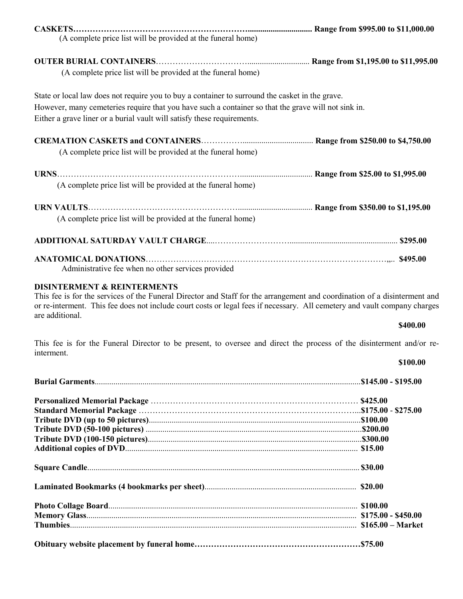| (A complete price list will be provided at the funeral home)                                                                                                                                                                                                                      |  |
|-----------------------------------------------------------------------------------------------------------------------------------------------------------------------------------------------------------------------------------------------------------------------------------|--|
| (A complete price list will be provided at the funeral home)                                                                                                                                                                                                                      |  |
| State or local law does not require you to buy a container to surround the casket in the grave.<br>However, many cemeteries require that you have such a container so that the grave will not sink in.<br>Either a grave liner or a burial vault will satisfy these requirements. |  |
| (A complete price list will be provided at the funeral home)                                                                                                                                                                                                                      |  |
| (A complete price list will be provided at the funeral home)                                                                                                                                                                                                                      |  |
| (A complete price list will be provided at the funeral home)                                                                                                                                                                                                                      |  |
|                                                                                                                                                                                                                                                                                   |  |
| Administrative fee when no other services provided                                                                                                                                                                                                                                |  |

### **DISINTERMENT & REINTERMENTS**

This fee is for the services of the Funeral Director and Staff for the arrangement and coordination of a disinterment and or re-interment. This fee does not include court costs or legal fees if necessary. All cemetery and vault company charges are additional.

### **\$400.00**

This fee is for the Funeral Director to be present, to oversee and direct the process of the disinterment and/or reinterment.

### **\$100.00**